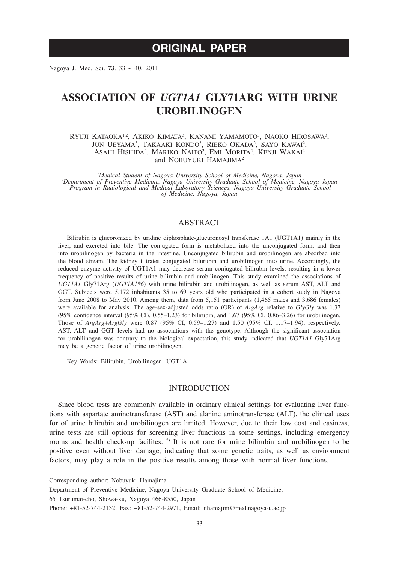# **ORIGINAL PAPER**

Nagoya J. Med. Sci. **73**. 33 ~ 40, 2011

# **ASSOCIATION OF** *UGT1A1* **GLY71ARG WITH URINE UROBILINOGEN**

RYUJI KATAOKA<sup>1,2</sup>, AKIKO KIMATA<sup>3</sup>, KANAMI YAMAMOTO<sup>3</sup>, NAOKO HIROSAWA<sup>3</sup>, JUN UEYAMA<sup>3</sup>, TAKAAKI KONDO<sup>3</sup>, RIEKO OKADA<sup>2</sup>, SAYO KAWAI<sup>2</sup>, ASAHI HISHIDA<sup>2</sup>, MARIKO NAITO<sup>2</sup>, EMI MORITA<sup>2</sup>, KENJI WAKAI<sup>2</sup> and NOBUYUKI HAMAJIMA<sup>2</sup>

<sup>1</sup> *Medical Student of Nagoya University School of Medicine, Nagoya, Japan*<br><sup>2</sup> Department of Preventive Medicine, Nagoya University Graduate School of Medicine *Department of Preventive Medicine, Nagoya University Graduate School of Medicine, Nagoya Japan <sup>3</sup> Program in Radiological and Medical Laboratory Sciences, Nagoya University Graduate School of Medicine, Nagoya, Japan*

## ABSTRACT

Bilirubin is glucoronized by uridine diphosphate-glucuronosyl transferase 1A1 (UGT1A1) mainly in the liver, and excreted into bile. The conjugated form is metabolized into the unconjugated form, and then into urobilinogen by bacteria in the intestine. Unconjugated bilirubin and urobilinogen are absorbed into the blood stream. The kidney filtrates conjugated bilurubin and urobilinogen into urine. Accordingly, the reduced enzyme activity of UGT1A1 may decrease serum conjugated bilirubin levels, resulting in a lower frequency of positive results of urine bilirubin and urobilinogen. This study examined the associations of *UGT1A1* Gly71Arg (*UGT1A1\*6*) with urine bilirubin and urobilinogen, as well as serum AST, ALT and GGT. Subjects were 5,172 inhabitants 35 to 69 years old who participated in a cohort study in Nagoya from June 2008 to May 2010. Among them, data from 5,151 participants (1,465 males and 3,686 females) were available for analysis. The age-sex-adjusted odds ratio (OR) of *ArgArg* relative to *GlyGly* was 1.37 (95% confidence interval (95% CI), 0.55–1.23) for bilirubin, and 1.67 (95% CI, 0.86–3.26) for urobilinogen. Those of *ArgArg*+*ArgGly* were 0.87 (95% CI, 0.59–1.27) and 1.50 (95% CI, 1.17–1.94), respectively. AST, ALT and GGT levels had no associations with the genotype. Although the significant association for urobilinogen was contrary to the biological expectation, this study indicated that *UGT1A1* Gly71Arg may be a genetic factor of urine urobilinogen.

Key Words: Bilirubin, Urobilinogen, UGT1A

#### INTRODUCTION

Since blood tests are commonly available in ordinary clinical settings for evaluating liver functions with aspartate aminotransferase (AST) and alanine aminotransferase (ALT), the clinical uses for of urine bilirubin and urobilinogen are limited. However, due to their low cost and easiness, urine tests are still options for screening liver functions in some settings, including emergency rooms and health check-up facilites.<sup>1,2)</sup> It is not rare for urine bilirubin and urobilinogen to be positive even without liver damage, indicating that some genetic traits, as well as environment factors, may play a role in the positive results among those with normal liver functions.

Corresponding author: Nobuyuki Hamajima

Department of Preventive Medicine, Nagoya University Graduate School of Medicine,

<sup>65</sup> Tsurumai-cho, Showa-ku, Nagoya 466-8550, Japan

Phone: +81-52-744-2132, Fax: +81-52-744-2971, Email: nhamajim@med.nagoya-u.ac.jp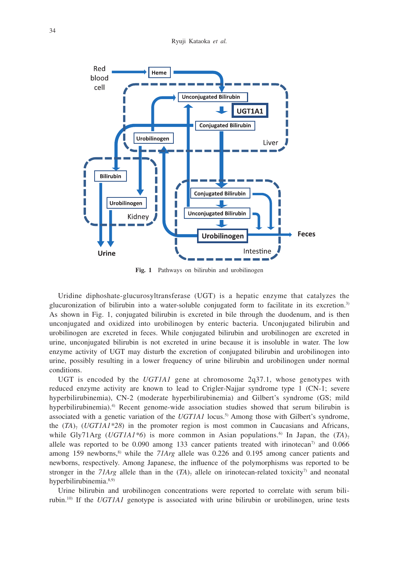Ryuji Kataoka *et al.*



**Fig. 1** Pathways on bilirubin and urobilinogen

Uridine diphoshate-glucurosyltransferase (UGT) is a hepatic enzyme that catalyzes the glucuronization of bilirubin into a water-soluble conjugated form to facilitate in its excretion.3) As shown in Fig. 1, conjugated bilirubin is excreted in bile through the duodenum, and is then unconjugated and oxidized into urobilinogen by enteric bacteria. Unconjugated bilirubin and urobilinogen are excreted in feces. While conjugated bilirubin and urobilinogen are excreted in urine, unconjugated bilirubin is not excreted in urine because it is insoluble in water. The low enzyme activity of UGT may disturb the excretion of conjugated bilirubin and urobilinogen into urine, possibly resulting in a lower frequency of urine bilirubin and urobilinogen under normal conditions.

UGT is encoded by the *UGT1A1* gene at chromosome 2q37.1, whose genotypes with reduced enzyme activity are known to lead to Crigler-Najjar syndrome type 1 (CN-1; severe hyperbilirubinemia), CN-2 (moderate hyperbilirubinemia) and Gilbert's syndrome (GS; mild hyperbilirubinemia).<sup>4)</sup> Recent genome-wide association studies showed that serum bilirubin is associated with a genetic variation of the *UGT1A1* locus.<sup>5)</sup> Among those with Gilbert's syndrome, the  $(TA)$ <sub>7</sub> (*UGT1A1\*28*) in the promoter region is most common in Caucasians and Africans, while Gly71Arg (*UGT1A1\*6*) is more common in Asian populations.<sup>6)</sup> In Japan, the  $(TA)$ <sub>7</sub> allele was reported to be 0.090 among 133 cancer patients treated with irinotecan<sup>7)</sup> and 0.066 among 159 newborns,<sup>8)</sup> while the *71Arg* allele was 0.226 and 0.195 among cancer patients and newborns, respectively. Among Japanese, the influence of the polymorphisms was reported to be stronger in the *71Arg* allele than in the  $(TA)$ <sub>7</sub> allele on irinotecan-related toxicity<sup>7</sup>) and neonatal hyperbilirubinemia.<sup>8,9)</sup>

Urine bilirubin and urobilinogen concentrations were reported to correlate with serum bilirubin.10) If the *UGT1A1* genotype is associated with urine bilirubin or urobilinogen, urine tests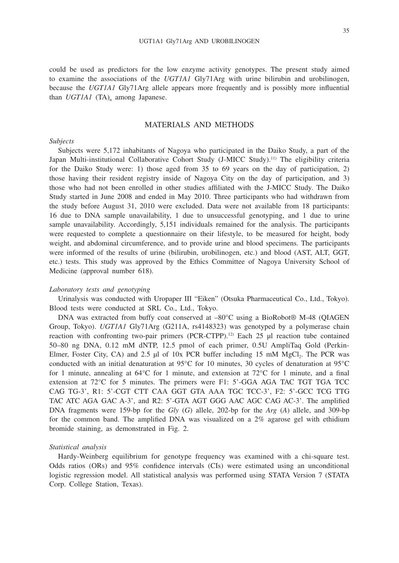35

could be used as predictors for the low enzyme activity genotypes. The present study aimed to examine the associations of the *UGT1A1* Gly71Arg with urine bilirubin and urobilinogen, because the *UGT1A1* Gly71Arg allele appears more frequently and is possibly more influential than  $UGTIAI$  (TA)<sub>n</sub> among Japanese.

## MATERIALS AND METHODS

## *Subjects*

Subjects were 5,172 inhabitants of Nagoya who participated in the Daiko Study, a part of the Japan Multi-institutional Collaborative Cohort Study (J-MICC Study).11) The eligibility criteria for the Daiko Study were: 1) those aged from 35 to 69 years on the day of participation, 2) those having their resident registry inside of Nagoya City on the day of participation, and 3) those who had not been enrolled in other studies affiliated with the J-MICC Study. The Daiko Study started in June 2008 and ended in May 2010. Three participants who had withdrawn from the study before August 31, 2010 were excluded. Data were not available from 18 participants: 16 due to DNA sample unavailability, 1 due to unsuccessful genotyping, and 1 due to urine sample unavailability. Accordingly, 5,151 individuals remained for the analysis. The participants were requested to complete a questionnaire on their lifestyle, to be measured for height, body weight, and abdominal circumference, and to provide urine and blood specimens. The participants were informed of the results of urine (bilirubin, urobilinogen, etc.) and blood (AST, ALT, GGT, etc.) tests. This study was approved by the Ethics Committee of Nagoya University School of Medicine (approval number 618).

### *Laboratory tests and genotyping*

Urinalysis was conducted with Uropaper III "Eiken" (Otsuka Pharmaceutical Co., Ltd., Tokyo). Blood tests were conducted at SRL Co., Ltd., Tokyo.

DNA was extracted from buffy coat conserved at –80°C using a BioRobot® M-48 (QIAGEN Group, Tokyo). *UGT1A1* Gly71Arg (G211A, rs4148323) was genotyped by a polymerase chain reaction with confronting two-pair primers  $(PCR-CTPP)$ .<sup>12)</sup> Each 25 µl reaction tube contained 50–80 ng DNA, 0.12 mM dNTP, 12.5 pmol of each primer, 0.5U AmpliTaq Gold (Perkin-Elmer, Foster City, CA) and 2.5  $\mu$ l of 10x PCR buffer including 15 mM MgCl<sub>2</sub>. The PCR was conducted with an initial denaturation at 95°C for 10 minutes, 30 cycles of denaturation at 95°C for 1 minute, annealing at  $64^{\circ}$ C for 1 minute, and extension at  $72^{\circ}$ C for 1 minute, and a final extension at 72°C for 5 minutes. The primers were F1: 5'-GGA AGA TAC TGT TGA TCC CAG TG-3', R1: 5'-CGT CTT CAA GGT GTA AAA TGC TCC-3', F2: 5'-GCC TCG TTG TAC ATC AGA GAC A-3', and R2: 5'-GTA AGT GGG AAC AGC CAG AC-3'. The amplified DNA fragments were 159-bp for the *Gly* (*G*) allele, 202-bp for the *Arg* (*A*) allele, and 309-bp for the common band. The amplified DNA was visualized on a 2% agarose gel with ethidium bromide staining, as demonstrated in Fig. 2.

#### *Statistical analysis*

Hardy-Weinberg equilibrium for genotype frequency was examined with a chi-square test. Odds ratios (ORs) and 95% confidence intervals (CIs) were estimated using an unconditional logistic regression model. All statistical analysis was performed using STATA Version 7 (STATA Corp. College Station, Texas).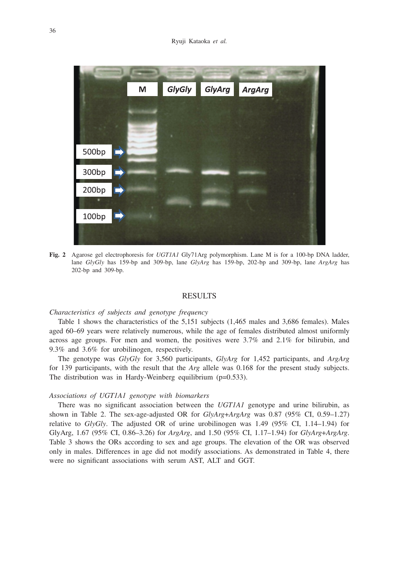

**Fig. 2** Agarose gel electrophoresis for *UGT1A1* Gly71Arg polymorphism. Lane M is for a 100-bp DNA ladder, lane *GlyGly* has 159-bp and 309-bp, lane *GlyArg* has 159-bp, 202-bp and 309-bp, lane *ArgArg* has 202-bp and 309-bp.

#### RESULTS

### *Characteristics of subjects and genotype frequency*

Table 1 shows the characteristics of the 5,151 subjects (1,465 males and 3,686 females). Males aged 60–69 years were relatively numerous, while the age of females distributed almost uniformly across age groups. For men and women, the positives were 3.7% and 2.1% for bilirubin, and 9.3% and 3.6% for urobilinogen, respectively.

The genotype was *GlyGly* for 3,560 participants, *GlyArg* for 1,452 participants, and *ArgArg* for 139 participants, with the result that the *Arg* allele was 0.168 for the present study subjects. The distribution was in Hardy-Weinberg equilibrium (p=0.533).

#### *Associations of UGT1A1 genotype with biomarkers*

There was no significant association between the *UGT1A1* genotype and urine bilirubin, as shown in Table 2. The sex-age-adjusted OR for *GlyArg*+*ArgArg* was 0.87 (95% CI, 0.59–1.27) relative to *GlyGly*. The adjusted OR of urine urobilinogen was 1.49 (95% CI, 1.14–1.94) for GlyArg, 1.67 (95% CI, 0.86–3.26) for *ArgArg*, and 1.50 (95% CI, 1.17–1.94) for *GlyArg*+*ArgArg*. Table 3 shows the ORs according to sex and age groups. The elevation of the OR was observed only in males. Differences in age did not modify associations. As demonstrated in Table 4, there were no significant associations with serum AST, ALT and GGT.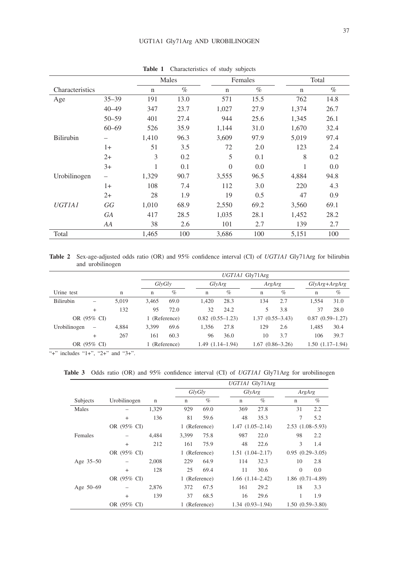|                 |           | Males<br>Females |      |             |      | Total       |      |  |
|-----------------|-----------|------------------|------|-------------|------|-------------|------|--|
| Characteristics |           | $\mathbf n$      | $\%$ | $\mathbf n$ | $\%$ | $\mathbf n$ | $\%$ |  |
| Age             | $35 - 39$ | 191              | 13.0 | 571         | 15.5 | 762         | 14.8 |  |
|                 | $40 - 49$ | 347              | 23.7 | 1,027       | 27.9 | 1,374       | 26.7 |  |
|                 | $50 - 59$ | 401              | 27.4 | 944         | 25.6 | 1,345       | 26.1 |  |
|                 | $60 - 69$ | 526              | 35.9 | 1,144       | 31.0 | 1,670       | 32.4 |  |
| Bilirubin       |           | 1,410            | 96.3 | 3,609       | 97.9 | 5,019       | 97.4 |  |
|                 | $1+$      | 51               | 3.5  | 72          | 2.0  | 123         | 2.4  |  |
|                 | $2+$      | 3                | 0.2  | 5           | 0.1  | 8           | 0.2  |  |
|                 | $3+$      | 1                | 0.1  | $\theta$    | 0.0  | 1           | 0.0  |  |
| Urobilinogen    |           | 1,329            | 90.7 | 3,555       | 96.5 | 4,884       | 94.8 |  |
|                 | $1+$      | 108              | 7.4  | 112         | 3.0  | 220         | 4.3  |  |
|                 | $2+$      | 28               | 1.9  | 19          | 0.5  | 47          | 0.9  |  |
| <b>UGTIA1</b>   | GG        | 1,010            | 68.9 | 2,550       | 69.2 | 3,560       | 69.1 |  |
|                 | <b>GA</b> | 417              | 28.5 | 1,035       | 28.1 | 1,452       | 28.2 |  |
|                 | AA        | 38               | 2.6  | 101         | 2.7  | 139         | 2.7  |  |
| Total           |           | 1,465            | 100  | 3,686       | 100  | 5,151       | 100  |  |

**Table 1** Characteristics of study subjects

**Table 2** Sex-age-adjusted odds ratio (OR) and 95% confidence interval (CI) of *UGT1A1* Gly71Arg for bilirubin and urobilinogen

|              |           |               | UGTIA1 Gly71Arg |                   |                   |                     |                   |                   |                   |      |
|--------------|-----------|---------------|-----------------|-------------------|-------------------|---------------------|-------------------|-------------------|-------------------|------|
|              |           |               |                 | GlyGly<br>GlyArg  |                   | ArgArg              |                   | $GlyArg+ArgArg$   |                   |      |
| Urine test   |           | n             | n               | $\%$              | n                 | $\%$                | n                 | $\%$              | n                 | $\%$ |
| Bilirubin    |           | 5,019         | 3.465           | 69.0              | 1.420             | 28.3                | 134               | 2.7               | 1.554             | 31.0 |
|              | $^{+}$    | 132           | 95              | 72.0              | 32                | 24.2                | 5                 | 3.8               | 37                | 28.0 |
| OR (95% CI)  |           | 1 (Reference) |                 | $0.82(0.55-1.23)$ |                   | $1.37(0.55 - 3.43)$ |                   | $0.87(0.59-1.27)$ |                   |      |
| Urobilinogen | $\equiv$  | 4.884         | 3.399           | 69.6              | 1.356             | 27.8                | 129               | 2.6               | 1.485             | 30.4 |
|              | $\ddot{}$ | 267           | 161             | 60.3              | 96                | 36.0                | 10                | 3.7               | 106               | 39.7 |
| OR (95% CI)  |           |               | 1 (Reference)   |                   | $1.49(1.14-1.94)$ |                     | $1.67(0.86-3.26)$ |                   | $1.50(1.17-1.94)$ |      |

 $\overline{u_+}$ " includes "1+", "2+" and "3+".

**Table 3** Odds ratio (OR) and 95% confidence interval (CI) of *UGT1A1* Gly71Arg for urobilinogen

|               |              |             | UGTIA1 Gly71Arg |               |                     |                      |             |                     |  |
|---------------|--------------|-------------|-----------------|---------------|---------------------|----------------------|-------------|---------------------|--|
|               |              |             |                 | GlvGlv        |                     | GlyArg               |             | ArgArg              |  |
| Subjects      | Urobilinogen | $\mathbf n$ | $\mathbf n$     | $\%$          | $\mathbf n$         | $\%$                 | $\mathbf n$ | $\%$                |  |
| Males         |              | 1,329       | 929             | 69.0          | 369                 | 27.8                 | 31          | 2.2                 |  |
|               | $+$          | 136         | 81              | 59.6          | 48                  | 35.3                 | 7           | 5.2                 |  |
|               | OR (95% CI)  |             |                 | 1 (Reference) |                     | $1.47(1.05-2.14)$    |             | $2.53(1.08-5.93)$   |  |
| Females       |              | 4.484       | 3.399           | 75.8          | 987                 | 22.0                 | 98          | 2.2                 |  |
|               | $+$          | 212         | 161             | 75.9          | 48                  | 22.6                 | 3           | 1.4                 |  |
|               | OR (95% CI)  |             |                 | 1 (Reference) |                     | $1.51(1.04 - 2.17)$  |             | $0.95(0.29-3.05)$   |  |
| Age $35 - 50$ |              | 2,008       | 229             | 64.9          | 114                 | 32.3                 | 10          | 2.8                 |  |
|               | $+$          | 128         | 25              | 69.4          | 11                  | 30.6                 | $\Omega$    | 0.0                 |  |
|               | OR (95% CI)  |             |                 | 1 (Reference) |                     | $1.66$ $(1.14-2.42)$ |             | $1.86(0.71 - 4.89)$ |  |
| Age $50-69$   |              | 2,876       | 372             | 67.5          | 161                 | 29.2                 | 18          | 3.3                 |  |
|               | $\ddot{}$    | 139         | 37              | 68.5          | 16                  | 29.6                 | 1           | 1.9                 |  |
|               | OR (95% CI)  |             |                 | 1 (Reference) | $1.34(0.93 - 1.94)$ |                      |             | $1.50(0.59-3.80)$   |  |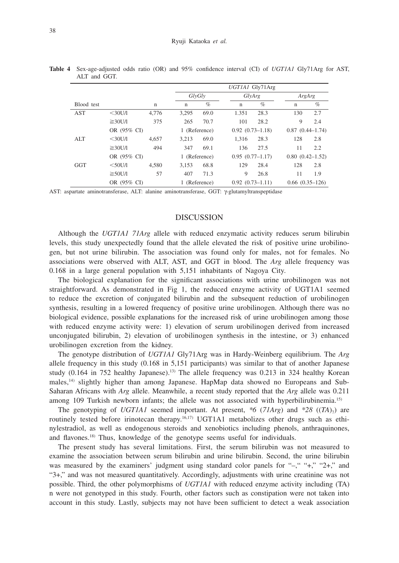|            |               |             | UGTIA1 Gly71Arg |               |                     |                     |     |                     |  |
|------------|---------------|-------------|-----------------|---------------|---------------------|---------------------|-----|---------------------|--|
|            |               |             |                 | GlvGlv        |                     | GlyArg              |     | ArgArg              |  |
| Blood test |               | $\mathbf n$ | n               | $\%$          | $\mathbf n$         | $\%$                | n   | $\%$                |  |
| <b>AST</b> | $<$ 30U/1     | 4.776       | 3,295           | 69.0          | 1.351               | 28.3                | 130 | 2.7                 |  |
|            | $\geq 30$ U/I | 375         | 265             | 70.7          | 101                 | 28.2                | 9   | 2.4                 |  |
|            |               | OR (95% CI) |                 | 1 (Reference) |                     | $0.92(0.73 - 1.18)$ |     | $0.87(0.44 - 1.74)$ |  |
| ALT        | $<$ 30U/1     | 4.657       | 3.213           | 69.0          | 1.316               | 28.3                | 128 | 2.8                 |  |
|            | $\geq 30$ U/I | 494         | 347             | 69.1          | 136                 | 27.5                | 11  | 2.2                 |  |
|            | OR (95% CI)   |             |                 | 1 (Reference) |                     | $0.95(0.77-1.17)$   |     | $0.80(0.42 - 1.52)$ |  |
| <b>GGT</b> | $<$ 50U/l     | 4.580       | 3,153           | 68.8          | 129                 | 28.4                | 128 | 2.8                 |  |
|            | $\geq 50$ U/I | 57          | 407             | 71.3          | 9                   | 26.8                | 11  | 1.9                 |  |
|            | OR (95% CI)   |             | 1 (Reference)   |               | $0.92(0.73 - 1.11)$ |                     |     | $0.66(0.35-126)$    |  |

**Table 4** Sex-age-adjusted odds ratio (OR) and 95% confidence interval (CI) of *UGT1A1* Gly71Arg for AST, ALT and GGT.

AST: aspartate aminotransferase, ALT: alanine aminotransferase, GGT: γ-glutamyltranspeptidase

#### DISCUSSION

Although the *UGT1A1 71Arg* allele with reduced enzymatic activity reduces serum bilirubin levels, this study unexpectedly found that the allele elevated the risk of positive urine urobilinogen, but not urine bilirubin. The association was found only for males, not for females. No associations were observed with ALT, AST, and GGT in blood. The *Arg* allele frequency was 0.168 in a large general population with 5,151 inhabitants of Nagoya City.

The biological explanation for the significant associations with urine urobilinogen was not straightforward. As demonstrated in Fig 1, the reduced enzyme activity of UGT1A1 seemed to reduce the excretion of conjugated bilirubin and the subsequent reduction of urobilinogen synthesis, resulting in a lowered frequency of positive urine urobilinogen. Although there was no biological evidence, possible explanations for the increased risk of urine urobilinogen among those with reduced enzyme activity were: 1) elevation of serum urobilinogen derived from increased unconjugated bilirubin, 2) elevation of urobilinogen synthesis in the intestine, or 3) enhanced urobilinogen excretion from the kidney.

The genotype distribution of *UGT1A1* Gly71Arg was in Hardy-Weinberg equilibrium. The *Arg* allele frequency in this study (0.168 in 5,151 participants) was similar to that of another Japanese study  $(0.164$  in 752 healthy Japanese).<sup>13</sup> The allele frequency was 0.213 in 324 healthy Korean males, $14$ ) slightly higher than among Japanese. HapMap data showed no Europeans and Sub-Saharan Africans with *Arg* allele. Meanwhile, a recent study reported that the *Arg* allele was 0.211 among 109 Turkish newborn infants; the allele was not associated with hyperbilirubinemia.<sup>15)</sup>

The genotyping of *UGT1A1* seemed important. At present,  $*6$  ( $71Arg$ ) and  $*28$  ( $(TA)_{7}$ ) are routinely tested before irinotecan therapy.<sup>16,17</sup> UGT1A1 metabolizes other drugs such as ethinylestradiol, as well as endogenous steroids and xenobiotics including phenols, anthraquinones, and flavones.18) Thus, knowledge of the genotype seems useful for individuals.

The present study has several limitations. First, the serum bilirubin was not measured to examine the association between serum bilirubin and urine bilirubin. Second, the urine bilirubin was measured by the examiners' judgment using standard color panels for "-," "+," "2+," and "3+," and was not measured quantitatively. Accordingly, adjustments with urine creatinine was not possible. Third, the other polymorphisms of *UGT1A1* with reduced enzyme activity including (TA) n were not genotyped in this study. Fourth, other factors such as constipation were not taken into account in this study. Lastly, subjects may not have been sufficient to detect a weak association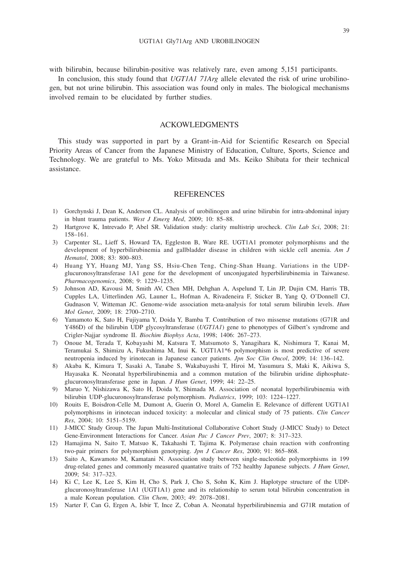with bilirubin, because bilirubin-positive was relatively rare, even among 5,151 participants.

In conclusion, this study found that *UGT1A1 71Arg* allele elevated the risk of urine urobilinogen, but not urine bilirubin. This association was found only in males. The biological mechanisms involved remain to be elucidated by further studies.

## ACKOWLEDGMENTS

This study was supported in part by a Grant-in-Aid for Scientific Research on Special Priority Areas of Cancer from the Japanese Ministry of Education, Culture, Sports, Science and Technology. We are grateful to Ms. Yoko Mitsuda and Ms. Keiko Shibata for their technical assistance.

#### REFERENCES

- 1) Gorchynski J, Dean K, Anderson CL. Analysis of urobilinogen and urine bilirubin for intra-abdominal injury in blunt trauma patients. *West J Emerg Med*, 2009; 10: 85–88.
- 2) Hartgrove K, Intrevado P, Abel SR. Validation study: clarity multistrip urocheck. *Clin Lab Sci*, 2008; 21: 158–161.
- 3) Carpenter SL, Lieff S, Howard TA, Eggleston B, Ware RE. UGT1A1 promoter polymorphisms and the development of hyperbilirubinemia and gallbladder disease in children with sickle cell anemia. *Am J Hematol*, 2008; 83: 800–803.
- 4) Huang YY, Huang MJ, Yang SS, Hsiu-Chen Teng, Ching-Shan Huang. Variations in the UDPglucuronosyltransferase 1A1 gene for the development of unconjugated hyperbilirubinemia in Taiwanese. *Pharmacogenomics*, 2008; 9: 1229–1235.
- 5) Johnson AD, Kavousi M, Smith AV, Chen MH, Dehghan A, Aspelund T, Lin JP, Dujin CM, Harris TB, Cupples LA, Uitterlinden AG, Launer L, Hofman A, Rivadeneira F, Sticker B, Yang Q, O'Donnell CJ, Gudnason V, Witteman JC. Genome-wide association meta-analysis for total serum bilirubin levels. *Hum Mol Genet*, 2009; 18: 2700–2710.
- 6) Yamamoto K, Sato H, Fujiyama Y, Doida Y, Bamba T. Contribution of two missense mutations (G71R and Y486D) of the bilirubin UDP glycosyltransferase (*UGT1A1*) gene to phenotypes of Gilbert's syndrome and Crigler-Najjar syndrome II. *Biochim Biophys Acta*, 1998; 1406: 267–273.
- 7) Onoue M, Terada T, Kobayashi M, Katsura T, Matsumoto S, Yanagihara K, Nishimura T, Kanai M, Teramukai S, Shimizu A, Fukushima M, Inui K. UGT1A1\*6 polymorphism is most predictive of severe neutropenia induced by irinotecan in Japanese cancer patients. *Jpn Soc Clin Oncol*, 2009; 14: 136–142.
- 8) Akaba K, Kimura T, Sasaki A, Tanabe S, Wakabayashi T, Hiroi M, Yasumura S, Maki K, Aikiwa S, Hayasaka K. Neonatal hyperbilirubinemia and a common mutation of the bilirubin uridine diphosphateglucuronosyltransferase gene in Japan. *J Hum Genet*, 1999; 44: 22–25.
- 9) Maruo Y, Nishizawa K, Sato H, Doida Y, Shimada M. Association of neonatal hyperbilirubinemia with bilirubin UDP-glucuronosyltransferase polymorphism. *Pediatrics*, 1999; 103: 1224–1227.
- 10) Rouits E, Boisdron-Celle M, Dumont A, Guerin O, Morel A, Gamelin E. Relevance of different UGT1A1 polymorphisms in irinotecan induced toxicity: a molecular and clinical study of 75 patients. *Clin Cancer Res*, 2004; 10: 5151–5159.
- 11) J-MICC Study Group. The Japan Multi-Institutional Collaborative Cohort Study (J-MICC Study) to Detect Gene-Environment Interactions for Cancer. *Asian Pac J Cancer Prev*, 2007; 8: 317–323.
- 12) Hamajima N, Saito T, Matsuo K, Takahashi T, Tajima K. Polymerase chain reaction with confronting two-pair primers for polymorphism genotyping. *Jpn J Cancer Res*, 2000; 91: 865–868.
- 13) Saito A, Kawamoto M, Kamatani N. Association study between single-nucleotide polymorphisms in 199 drug-related genes and commonly measured quantative traits of 752 healthy Japanese subjects. *J Hum Genet*, 2009; 54: 317–323.
- 14) Ki C, Lee K, Lee S, Kim H, Cho S, Park J, Cho S, Sohn K, Kim J. Haplotype structure of the UDPglucuronosyltransferase 1A1 (UGT1A1) gene and its relationship to serum total bilirubin concentration in a male Korean population. *Clin Chem*, 2003; 49: 2078–2081.
- 15) Narter F, Can G, Ergen A, Isbir T, Ince Z, Coban A. Neonatal hyperbilirubinemia and G71R mutation of